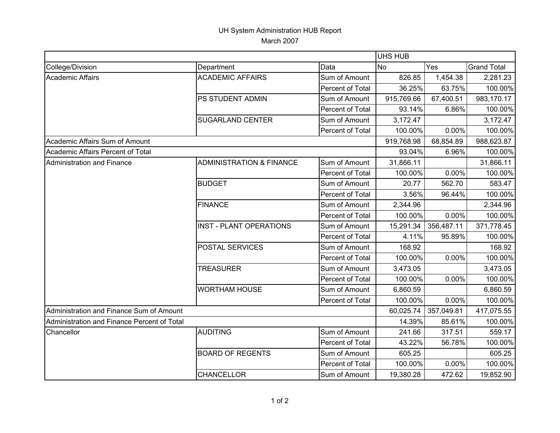## UH System Administration HUB Report March 2007

|                                             |                                     |                  | <b>UHS HUB</b>   |            |                    |
|---------------------------------------------|-------------------------------------|------------------|------------------|------------|--------------------|
| College/Division                            | Department                          | Data             | Yes<br><b>No</b> |            | <b>Grand Total</b> |
| <b>Academic Affairs</b>                     | <b>ACADEMIC AFFAIRS</b>             | Sum of Amount    | 826.85           | 1,454.38   | 2,281.23           |
|                                             |                                     | Percent of Total | 36.25%           | 63.75%     | 100.00%            |
|                                             | PS STUDENT ADMIN                    | Sum of Amount    | 915,769.66       | 67,400.51  | 983,170.17         |
|                                             |                                     | Percent of Total | 93.14%           | 6.86%      | 100.00%            |
|                                             | <b>SUGARLAND CENTER</b>             | Sum of Amount    | 3,172.47         |            | 3,172.47           |
|                                             |                                     | Percent of Total | 100.00%          | 0.00%      | 100.00%            |
| Academic Affairs Sum of Amount              |                                     |                  | 919,768.98       | 68,854.89  | 988,623.87         |
| Academic Affairs Percent of Total           |                                     |                  | 93.04%           | 6.96%      | 100.00%            |
| Administration and Finance                  | <b>ADMINISTRATION &amp; FINANCE</b> | Sum of Amount    | 31,866.11        |            | 31,866.11          |
|                                             |                                     | Percent of Total | 100.00%          | 0.00%      | 100.00%            |
|                                             | <b>BUDGET</b>                       | Sum of Amount    | 20.77            | 562.70     | 583.47             |
|                                             |                                     | Percent of Total | 3.56%            | 96.44%     | 100.00%            |
|                                             | <b>FINANCE</b>                      | Sum of Amount    | 2,344.96         |            | 2,344.96           |
|                                             |                                     | Percent of Total | 100.00%          | 0.00%      | 100.00%            |
|                                             | <b>INST - PLANT OPERATIONS</b>      | Sum of Amount    | 15,291.34        | 356,487.11 | 371,778.45         |
|                                             |                                     | Percent of Total | 4.11%            | 95.89%     | 100.00%            |
|                                             | <b>POSTAL SERVICES</b>              | Sum of Amount    | 168.92           |            | 168.92             |
|                                             |                                     | Percent of Total | 100.00%          | 0.00%      | 100.00%            |
|                                             | <b>TREASURER</b>                    | Sum of Amount    | 3,473.05         |            | 3,473.05           |
|                                             |                                     | Percent of Total | 100.00%          | 0.00%      | 100.00%            |
|                                             | <b>WORTHAM HOUSE</b>                | Sum of Amount    | 6,860.59         |            | 6,860.59           |
|                                             |                                     | Percent of Total | 100.00%          | 0.00%      | 100.00%            |
| Administration and Finance Sum of Amount    |                                     |                  | 60,025.74        | 357,049.81 | 417,075.55         |
| Administration and Finance Percent of Total |                                     |                  | 14.39%           | 85.61%     | 100.00%            |
| Chancellor                                  | <b>AUDITING</b>                     | Sum of Amount    | 241.66           | 317.51     | 559.17             |
|                                             |                                     | Percent of Total | 43.22%           | 56.78%     | 100.00%            |
|                                             | <b>BOARD OF REGENTS</b>             | Sum of Amount    | 605.25           |            | 605.25             |
|                                             |                                     | Percent of Total | 100.00%          | 0.00%      | 100.00%            |
|                                             | <b>CHANCELLOR</b>                   | Sum of Amount    | 19,380.28        | 472.62     | 19,852.90          |